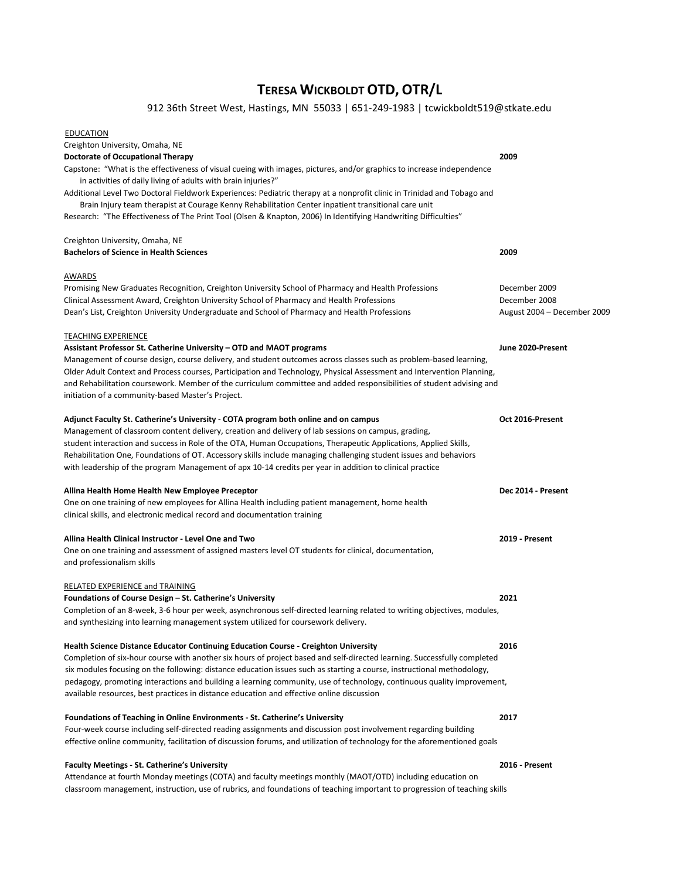# TERESA WICKBOLDT OTD, OTR/L

## 912 36th Street West, Hastings, MN 55033 | 651-249-1983 | tcwickboldt519@stkate.edu

| <b>EDUCATION</b>                                                                                                           |                             |
|----------------------------------------------------------------------------------------------------------------------------|-----------------------------|
| Creighton University, Omaha, NE                                                                                            |                             |
| <b>Doctorate of Occupational Therapy</b>                                                                                   | 2009                        |
| Capstone: "What is the effectiveness of visual cueing with images, pictures, and/or graphics to increase independence      |                             |
| in activities of daily living of adults with brain injuries?"                                                              |                             |
| Additional Level Two Doctoral Fieldwork Experiences: Pediatric therapy at a nonprofit clinic in Trinidad and Tobago and    |                             |
| Brain Injury team therapist at Courage Kenny Rehabilitation Center inpatient transitional care unit                        |                             |
| Research: "The Effectiveness of The Print Tool (Olsen & Knapton, 2006) In Identifying Handwriting Difficulties"            |                             |
| Creighton University, Omaha, NE                                                                                            |                             |
| <b>Bachelors of Science in Health Sciences</b>                                                                             | 2009                        |
| AWARDS                                                                                                                     |                             |
| Promising New Graduates Recognition, Creighton University School of Pharmacy and Health Professions                        | December 2009               |
| Clinical Assessment Award, Creighton University School of Pharmacy and Health Professions                                  | December 2008               |
| Dean's List, Creighton University Undergraduate and School of Pharmacy and Health Professions                              | August 2004 - December 2009 |
| <b>TEACHING EXPERIENCE</b>                                                                                                 |                             |
| Assistant Professor St. Catherine University – OTD and MAOT programs                                                       | June 2020-Present           |
| Management of course design, course delivery, and student outcomes across classes such as problem-based learning,          |                             |
| Older Adult Context and Process courses, Participation and Technology, Physical Assessment and Intervention Planning,      |                             |
| and Rehabilitation coursework. Member of the curriculum committee and added responsibilities of student advising and       |                             |
| initiation of a community-based Master's Project.                                                                          |                             |
| Adjunct Faculty St. Catherine's University - COTA program both online and on campus                                        | Oct 2016-Present            |
| Management of classroom content delivery, creation and delivery of lab sessions on campus, grading,                        |                             |
| student interaction and success in Role of the OTA, Human Occupations, Therapeutic Applications, Applied Skills,           |                             |
| Rehabilitation One, Foundations of OT. Accessory skills include managing challenging student issues and behaviors          |                             |
| with leadership of the program Management of apx 10-14 credits per year in addition to clinical practice                   |                             |
| Allina Health Home Health New Employee Preceptor                                                                           | Dec 2014 - Present          |
| One on one training of new employees for Allina Health including patient management, home health                           |                             |
| clinical skills, and electronic medical record and documentation training                                                  |                             |
| Allina Health Clinical Instructor - Level One and Two                                                                      | 2019 Present                |
| One on one training and assessment of assigned masters level OT students for clinical, documentation,                      |                             |
| and professionalism skills                                                                                                 |                             |
| <b>RELATED EXPERIENCE and TRAINING</b>                                                                                     |                             |
| Foundations of Course Design - St. Catherine's University                                                                  | 2021                        |
| Completion of an 8-week, 3-6 hour per week, asynchronous self-directed learning related to writing objectives, modules,    |                             |
| and synthesizing into learning management system utilized for coursework delivery.                                         |                             |
| <b>Health Science Distance Educator Continuing Education Course - Creighton University</b>                                 | 2016                        |
| Completion of six-hour course with another six hours of project based and self-directed learning. Successfully completed   |                             |
| six modules focusing on the following: distance education issues such as starting a course, instructional methodology,     |                             |
| pedagogy, promoting interactions and building a learning community, use of technology, continuous quality improvement,     |                             |
| available resources, best practices in distance education and effective online discussion                                  |                             |
| <b>Foundations of Teaching in Online Environments - St. Catherine's University</b>                                         | 2017                        |
| Four-week course including self-directed reading assignments and discussion post involvement regarding building            |                             |
| effective online community, facilitation of discussion forums, and utilization of technology for the aforementioned goals  |                             |
| <b>Faculty Meetings - St. Catherine's University</b>                                                                       | 2016 - Present              |
| Attendance at fourth Monday meetings (COTA) and faculty meetings monthly (MAOT/OTD) including education on                 |                             |
| classroom management, instruction, use of rubrics, and foundations of teaching important to progression of teaching skills |                             |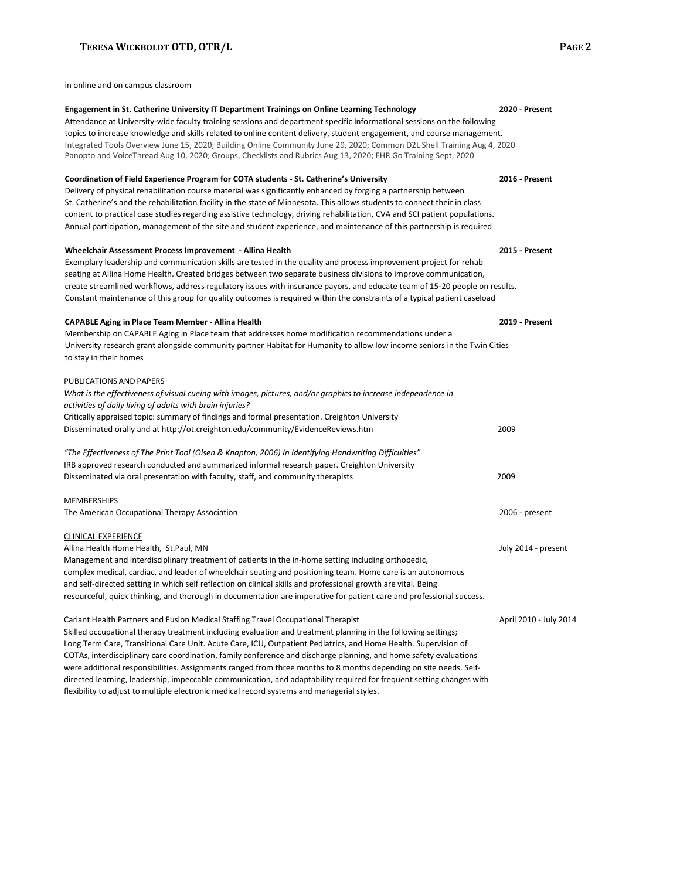#### TERESA WICKBOLDT OTD, OTR/L PAGE 2

in online and on campus classroom

| Engagement in St. Catherine University IT Department Trainings on Online Learning Technology                                | 2020 - Present         |
|-----------------------------------------------------------------------------------------------------------------------------|------------------------|
| Attendance at University-wide faculty training sessions and department specific informational sessions on the following     |                        |
| topics to increase knowledge and skills related to online content delivery, student engagement, and course management.      |                        |
| Integrated Tools Overview June 15, 2020; Building Online Community June 29, 2020; Common D2L Shell Training Aug 4, 2020     |                        |
| Panopto and VoiceThread Aug 10, 2020; Groups, Checklists and Rubrics Aug 13, 2020; EHR Go Training Sept, 2020               |                        |
| Coordination of Field Experience Program for COTA students - St. Catherine's University                                     | 2016 - Present         |
| Delivery of physical rehabilitation course material was significantly enhanced by forging a partnership between             |                        |
| St. Catherine's and the rehabilitation facility in the state of Minnesota. This allows students to connect their in class   |                        |
| content to practical case studies regarding assistive technology, driving rehabilitation, CVA and SCI patient populations.  |                        |
| Annual participation, management of the site and student experience, and maintenance of this partnership is required        |                        |
| Wheelchair Assessment Process Improvement - Allina Health                                                                   | 2015 Present           |
| Exemplary leadership and communication skills are tested in the quality and process improvement project for rehab           |                        |
| seating at Allina Home Health. Created bridges between two separate business divisions to improve communication,            |                        |
| create streamlined workflows, address regulatory issues with insurance payors, and educate team of 15-20 people on results. |                        |
| Constant maintenance of this group for quality outcomes is required within the constraints of a typical patient caseload    |                        |
| <b>CAPABLE Aging in Place Team Member - Allina Health</b>                                                                   | 2019 Present           |
| Membership on CAPABLE Aging in Place team that addresses home modification recommendations under a                          |                        |
| University research grant alongside community partner Habitat for Humanity to allow low income seniors in the Twin Cities   |                        |
| to stay in their homes                                                                                                      |                        |
| PUBLICATIONS AND PAPERS                                                                                                     |                        |
| What is the effectiveness of visual cueing with images, pictures, and/or graphics to increase independence in               |                        |
| activities of daily living of adults with brain injuries?                                                                   |                        |
| Critically appraised topic: summary of findings and formal presentation. Creighton University                               |                        |
| Disseminated orally and at http://ot.creighton.edu/community/EvidenceReviews.htm                                            | 2009                   |
| "The Effectiveness of The Print Tool (Olsen & Knapton, 2006) In Identifying Handwriting Difficulties"                       |                        |
| IRB approved research conducted and summarized informal research paper. Creighton University                                |                        |
| Disseminated via oral presentation with faculty, staff, and community therapists                                            | 2009                   |
|                                                                                                                             |                        |
| <b>MEMBERSHIPS</b>                                                                                                          |                        |
| The American Occupational Therapy Association                                                                               | 2006 - present         |
| <b>CLINICAL EXPERIENCE</b>                                                                                                  |                        |
| Allina Health Home Health, St.Paul, MN                                                                                      | July 2014 - present    |
| Management and interdisciplinary treatment of patients in the in-home setting including orthopedic,                         |                        |
| complex medical, cardiac, and leader of wheelchair seating and positioning team. Home care is an autonomous                 |                        |
| and self-directed setting in which self reflection on clinical skills and professional growth are vital. Being              |                        |
| resourceful, quick thinking, and thorough in documentation are imperative for patient care and professional success.        |                        |
| Cariant Health Partners and Fusion Medical Staffing Travel Occupational Therapist                                           | April 2010 - July 2014 |
| Skilled occupational therapy treatment including evaluation and treatment planning in the following settings;               |                        |
| Long Term Care, Transitional Care Unit. Acute Care, ICU, Outpatient Pediatrics, and Home Health. Supervision of             |                        |
| COTAs, interdisciplinary care coordination, family conference and discharge planning, and home safety evaluations           |                        |
| were additional responsibilities. Assignments ranged from three months to 8 months depending on site needs. Self-           |                        |

directed learning, leadership, impeccable communication, and adaptability required for frequent setting changes with

flexibility to adjust to multiple electronic medical record systems and managerial styles.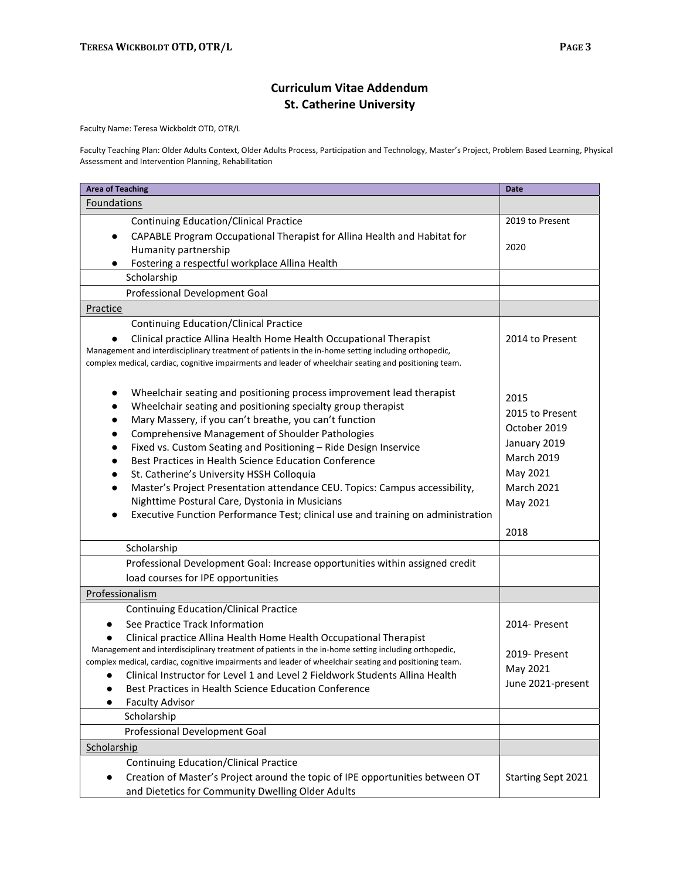## Curriculum Vitae Addendum St. Catherine University

Faculty Name: Teresa Wickboldt OTD, OTR/L

Faculty Teaching Plan: Older Adults Context, Older Adults Process, Participation and Technology, Master's Project, Problem Based Learning, Physical Assessment and Intervention Planning, Rehabilitation

| <b>Area of Teaching</b>                                                                                                                                                                                                                                                                                                                                                                                                                                                                                                                                                                                                                                                                                                                                        | <b>Date</b>                                                                                                                       |
|----------------------------------------------------------------------------------------------------------------------------------------------------------------------------------------------------------------------------------------------------------------------------------------------------------------------------------------------------------------------------------------------------------------------------------------------------------------------------------------------------------------------------------------------------------------------------------------------------------------------------------------------------------------------------------------------------------------------------------------------------------------|-----------------------------------------------------------------------------------------------------------------------------------|
| <b>Foundations</b>                                                                                                                                                                                                                                                                                                                                                                                                                                                                                                                                                                                                                                                                                                                                             |                                                                                                                                   |
| <b>Continuing Education/Clinical Practice</b>                                                                                                                                                                                                                                                                                                                                                                                                                                                                                                                                                                                                                                                                                                                  | 2019 to Present                                                                                                                   |
| CAPABLE Program Occupational Therapist for Allina Health and Habitat for<br>$\bullet$                                                                                                                                                                                                                                                                                                                                                                                                                                                                                                                                                                                                                                                                          |                                                                                                                                   |
| Humanity partnership                                                                                                                                                                                                                                                                                                                                                                                                                                                                                                                                                                                                                                                                                                                                           | 2020                                                                                                                              |
| Fostering a respectful workplace Allina Health                                                                                                                                                                                                                                                                                                                                                                                                                                                                                                                                                                                                                                                                                                                 |                                                                                                                                   |
| Scholarship                                                                                                                                                                                                                                                                                                                                                                                                                                                                                                                                                                                                                                                                                                                                                    |                                                                                                                                   |
| Professional Development Goal                                                                                                                                                                                                                                                                                                                                                                                                                                                                                                                                                                                                                                                                                                                                  |                                                                                                                                   |
| Practice                                                                                                                                                                                                                                                                                                                                                                                                                                                                                                                                                                                                                                                                                                                                                       |                                                                                                                                   |
| <b>Continuing Education/Clinical Practice</b><br>Clinical practice Allina Health Home Health Occupational Therapist<br>Management and interdisciplinary treatment of patients in the in-home setting including orthopedic,<br>complex medical, cardiac, cognitive impairments and leader of wheelchair seating and positioning team.                                                                                                                                                                                                                                                                                                                                                                                                                           | 2014 to Present                                                                                                                   |
| Wheelchair seating and positioning process improvement lead therapist<br>$\bullet$<br>Wheelchair seating and positioning specialty group therapist<br>$\bullet$<br>Mary Massery, if you can't breathe, you can't function<br>$\bullet$<br><b>Comprehensive Management of Shoulder Pathologies</b><br>$\bullet$<br>Fixed vs. Custom Seating and Positioning - Ride Design Inservice<br>٠<br>Best Practices in Health Science Education Conference<br>$\bullet$<br>St. Catherine's University HSSH Colloquia<br>٠<br>Master's Project Presentation attendance CEU. Topics: Campus accessibility,<br>$\bullet$<br>Nighttime Postural Care, Dystonia in Musicians<br>Executive Function Performance Test; clinical use and training on administration<br>$\bullet$ | 2015<br>2015 to Present<br>October 2019<br>January 2019<br><b>March 2019</b><br>May 2021<br><b>March 2021</b><br>May 2021<br>2018 |
| Scholarship                                                                                                                                                                                                                                                                                                                                                                                                                                                                                                                                                                                                                                                                                                                                                    |                                                                                                                                   |
| Professional Development Goal: Increase opportunities within assigned credit                                                                                                                                                                                                                                                                                                                                                                                                                                                                                                                                                                                                                                                                                   |                                                                                                                                   |
| load courses for IPE opportunities                                                                                                                                                                                                                                                                                                                                                                                                                                                                                                                                                                                                                                                                                                                             |                                                                                                                                   |
| Professionalism                                                                                                                                                                                                                                                                                                                                                                                                                                                                                                                                                                                                                                                                                                                                                |                                                                                                                                   |
| <b>Continuing Education/Clinical Practice</b>                                                                                                                                                                                                                                                                                                                                                                                                                                                                                                                                                                                                                                                                                                                  |                                                                                                                                   |
| See Practice Track Information                                                                                                                                                                                                                                                                                                                                                                                                                                                                                                                                                                                                                                                                                                                                 | 2014- Present                                                                                                                     |
| Clinical practice Allina Health Home Health Occupational Therapist                                                                                                                                                                                                                                                                                                                                                                                                                                                                                                                                                                                                                                                                                             |                                                                                                                                   |
| Management and interdisciplinary treatment of patients in the in-home setting including orthopedic,                                                                                                                                                                                                                                                                                                                                                                                                                                                                                                                                                                                                                                                            | 2019- Present                                                                                                                     |
| complex medical, cardiac, cognitive impairments and leader of wheelchair seating and positioning team.                                                                                                                                                                                                                                                                                                                                                                                                                                                                                                                                                                                                                                                         |                                                                                                                                   |
| Clinical Instructor for Level 1 and Level 2 Fieldwork Students Allina Health                                                                                                                                                                                                                                                                                                                                                                                                                                                                                                                                                                                                                                                                                   | May 2021                                                                                                                          |
| Best Practices in Health Science Education Conference                                                                                                                                                                                                                                                                                                                                                                                                                                                                                                                                                                                                                                                                                                          | June 2021-present                                                                                                                 |
| <b>Faculty Advisor</b>                                                                                                                                                                                                                                                                                                                                                                                                                                                                                                                                                                                                                                                                                                                                         |                                                                                                                                   |
| Scholarship                                                                                                                                                                                                                                                                                                                                                                                                                                                                                                                                                                                                                                                                                                                                                    |                                                                                                                                   |
| Professional Development Goal                                                                                                                                                                                                                                                                                                                                                                                                                                                                                                                                                                                                                                                                                                                                  |                                                                                                                                   |
| Scholarship                                                                                                                                                                                                                                                                                                                                                                                                                                                                                                                                                                                                                                                                                                                                                    |                                                                                                                                   |
| <b>Continuing Education/Clinical Practice</b>                                                                                                                                                                                                                                                                                                                                                                                                                                                                                                                                                                                                                                                                                                                  |                                                                                                                                   |
| Creation of Master's Project around the topic of IPE opportunities between OT<br>$\bullet$<br>and Dietetics for Community Dwelling Older Adults                                                                                                                                                                                                                                                                                                                                                                                                                                                                                                                                                                                                                | Starting Sept 2021                                                                                                                |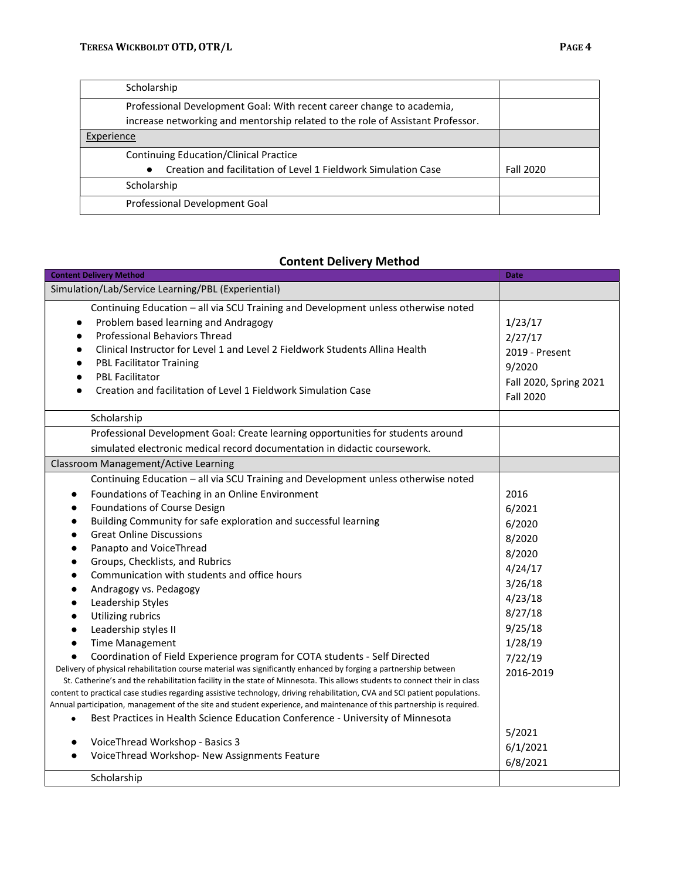| Scholarship                                                                    |           |
|--------------------------------------------------------------------------------|-----------|
| Professional Development Goal: With recent career change to academia,          |           |
| increase networking and mentorship related to the role of Assistant Professor. |           |
| Experience                                                                     |           |
| <b>Continuing Education/Clinical Practice</b>                                  |           |
| Creation and facilitation of Level 1 Fieldwork Simulation Case                 | Fall 2020 |
| Scholarship                                                                    |           |
| Professional Development Goal                                                  |           |

### Content Delivery Method

| <b>Content Delivery Method</b>                                                                                                                                                                                                                                                                                                                                                                                                                                                                                                                                                                                                                                                                                                                                                                                                                                                                                                                                                                                                                                                                                                                                                                                                                                                                         | Date                                                                                                                                                         |
|--------------------------------------------------------------------------------------------------------------------------------------------------------------------------------------------------------------------------------------------------------------------------------------------------------------------------------------------------------------------------------------------------------------------------------------------------------------------------------------------------------------------------------------------------------------------------------------------------------------------------------------------------------------------------------------------------------------------------------------------------------------------------------------------------------------------------------------------------------------------------------------------------------------------------------------------------------------------------------------------------------------------------------------------------------------------------------------------------------------------------------------------------------------------------------------------------------------------------------------------------------------------------------------------------------|--------------------------------------------------------------------------------------------------------------------------------------------------------------|
| Simulation/Lab/Service Learning/PBL (Experiential)                                                                                                                                                                                                                                                                                                                                                                                                                                                                                                                                                                                                                                                                                                                                                                                                                                                                                                                                                                                                                                                                                                                                                                                                                                                     |                                                                                                                                                              |
| Continuing Education - all via SCU Training and Development unless otherwise noted<br>Problem based learning and Andragogy<br>$\bullet$<br><b>Professional Behaviors Thread</b><br>$\bullet$<br>Clinical Instructor for Level 1 and Level 2 Fieldwork Students Allina Health<br>$\bullet$<br><b>PBL Facilitator Training</b><br>$\bullet$<br><b>PBL Facilitator</b><br>$\bullet$<br>Creation and facilitation of Level 1 Fieldwork Simulation Case<br>$\bullet$                                                                                                                                                                                                                                                                                                                                                                                                                                                                                                                                                                                                                                                                                                                                                                                                                                        | 1/23/17<br>2/27/17<br>2019 - Present<br>9/2020<br>Fall 2020, Spring 2021<br><b>Fall 2020</b>                                                                 |
| Scholarship                                                                                                                                                                                                                                                                                                                                                                                                                                                                                                                                                                                                                                                                                                                                                                                                                                                                                                                                                                                                                                                                                                                                                                                                                                                                                            |                                                                                                                                                              |
| Professional Development Goal: Create learning opportunities for students around<br>simulated electronic medical record documentation in didactic coursework.                                                                                                                                                                                                                                                                                                                                                                                                                                                                                                                                                                                                                                                                                                                                                                                                                                                                                                                                                                                                                                                                                                                                          |                                                                                                                                                              |
| Classroom Management/Active Learning                                                                                                                                                                                                                                                                                                                                                                                                                                                                                                                                                                                                                                                                                                                                                                                                                                                                                                                                                                                                                                                                                                                                                                                                                                                                   |                                                                                                                                                              |
| Continuing Education - all via SCU Training and Development unless otherwise noted<br>Foundations of Teaching in an Online Environment<br>Foundations of Course Design<br>Building Community for safe exploration and successful learning<br><b>Great Online Discussions</b><br>Panapto and VoiceThread<br>Groups, Checklists, and Rubrics<br>Communication with students and office hours<br>Andragogy vs. Pedagogy<br>Leadership Styles<br>Utilizing rubrics<br>Leadership styles II<br><b>Time Management</b><br>$\bullet$<br>Coordination of Field Experience program for COTA students - Self Directed<br>Delivery of physical rehabilitation course material was significantly enhanced by forging a partnership between<br>St. Catherine's and the rehabilitation facility in the state of Minnesota. This allows students to connect their in class<br>content to practical case studies regarding assistive technology, driving rehabilitation, CVA and SCI patient populations.<br>Annual participation, management of the site and student experience, and maintenance of this partnership is required.<br>Best Practices in Health Science Education Conference - University of Minnesota<br>$\bullet$<br>VoiceThread Workshop - Basics 3<br>VoiceThread Workshop- New Assignments Feature | 2016<br>6/2021<br>6/2020<br>8/2020<br>8/2020<br>4/24/17<br>3/26/18<br>4/23/18<br>8/27/18<br>9/25/18<br>1/28/19<br>7/22/19<br>2016-2019<br>5/2021<br>6/1/2021 |
|                                                                                                                                                                                                                                                                                                                                                                                                                                                                                                                                                                                                                                                                                                                                                                                                                                                                                                                                                                                                                                                                                                                                                                                                                                                                                                        | 6/8/2021                                                                                                                                                     |
| Scholarship                                                                                                                                                                                                                                                                                                                                                                                                                                                                                                                                                                                                                                                                                                                                                                                                                                                                                                                                                                                                                                                                                                                                                                                                                                                                                            |                                                                                                                                                              |